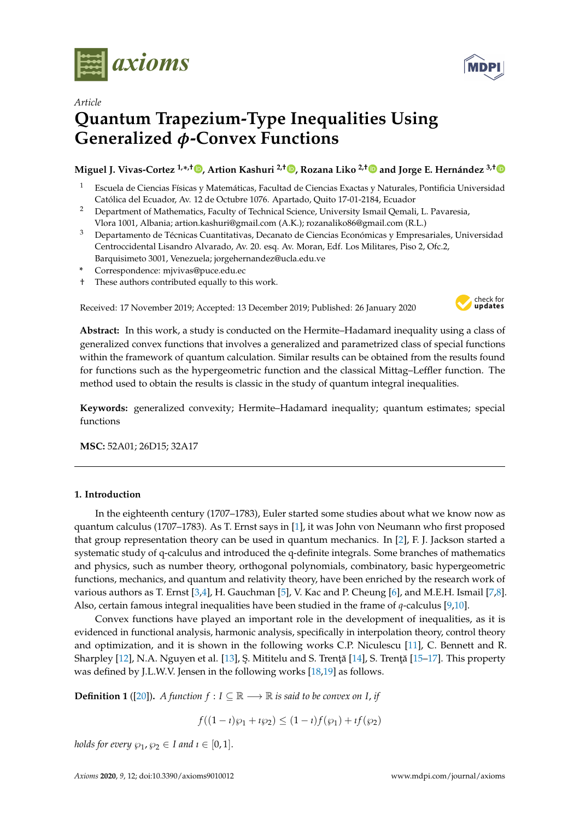



# **Quantum Trapezium-Type Inequalities Using Generalized** *φ***-Convex Functions**

## **Miguel J. Vivas-Cortez 1,\* ,† [,](https://orcid.org/0000-0002-1567-0264) Artion Kashuri 2,[†](https://orcid.org/0000-0003-0115-3079) , Rozana Liko 2,[†](https://orcid.org/0000-0003-2439-8538) and Jorge E. Hernández 3,[†](https://orcid.org/0000-0002-4406-5469)**

- <sup>1</sup> Escuela de Ciencias Físicas y Matemáticas, Facultad de Ciencias Exactas y Naturales, Pontificia Universidad Católica del Ecuador, Av. 12 de Octubre 1076. Apartado, Quito 17-01-2184, Ecuador
- <sup>2</sup> Department of Mathematics, Faculty of Technical Science, University Ismail Qemali, L. Pavaresia, Vlora 1001, Albania; artion.kashuri@gmail.com (A.K.); rozanaliko86@gmail.com (R.L.)
- $3$  Departamento de Técnicas Cuantitativas, Decanato de Ciencias Económicas y Empresariales, Universidad Centroccidental Lisandro Alvarado, Av. 20. esq. Av. Moran, Edf. Los Militares, Piso 2, Ofc.2, Barquisimeto 3001, Venezuela; jorgehernandez@ucla.edu.ve
- **\*** Correspondence: mjvivas@puce.edu.ec
- † These authors contributed equally to this work.

Received: 17 November 2019; Accepted: 13 December 2019; Published: 26 January 2020



**Abstract:** In this work, a study is conducted on the Hermite–Hadamard inequality using a class of generalized convex functions that involves a generalized and parametrized class of special functions within the framework of quantum calculation. Similar results can be obtained from the results found for functions such as the hypergeometric function and the classical Mittag–Leffler function. The method used to obtain the results is classic in the study of quantum integral inequalities.

**Keywords:** generalized convexity; Hermite–Hadamard inequality; quantum estimates; special functions

**MSC:** 52A01; 26D15; 32A17

### **1. Introduction**

In the eighteenth century (1707–1783), Euler started some studies about what we know now as quantum calculus (1707–1783). As T. Ernst says in [\[1\]](#page-11-0), it was John von Neumann who first proposed that group representation theory can be used in quantum mechanics. In [\[2\]](#page-11-1), F. J. Jackson started a systematic study of q-calculus and introduced the q-definite integrals. Some branches of mathematics and physics, such as number theory, orthogonal polynomials, combinatory, basic hypergeometric functions, mechanics, and quantum and relativity theory, have been enriched by the research work of various authors as T. Ernst [\[3](#page-11-2)[,4\]](#page-11-3), H. Gauchman [\[5\]](#page-11-4), V. Kac and P. Cheung [\[6\]](#page-11-5), and M.E.H. Ismail [\[7,](#page-11-6)[8\]](#page-11-7). Also, certain famous integral inequalities have been studied in the frame of *q*-calculus [\[9](#page-11-8)[,10\]](#page-11-9).

Convex functions have played an important role in the development of inequalities, as it is evidenced in functional analysis, harmonic analysis, specifically in interpolation theory, control theory and optimization, and it is shown in the following works C.P. Niculescu [\[11\]](#page-11-10), C. Bennett and R. Sharpley  $[12]$ , N.A. Nguyen et al.  $[13]$ , S. Mititelu and S. Trență  $[14]$ , S. Trență  $[15-17]$  $[15-17]$ . This property was defined by J.L.W.V. Jensen in the following works [\[18](#page-11-16)[,19\]](#page-11-17) as follows.

<span id="page-0-0"></span>**Definition 1** ([\[20\]](#page-12-0)). *A function*  $f: I \subseteq \mathbb{R} \longrightarrow \mathbb{R}$  *is said to be convex on I, if* 

$$
f((1 - i)\wp_1 + i\wp_2) \le (1 - i)f(\wp_1) + i f(\wp_2)
$$

*holds for every*  $\wp_1$ ,  $\wp_2 \in I$  and  $i \in [0,1]$ .

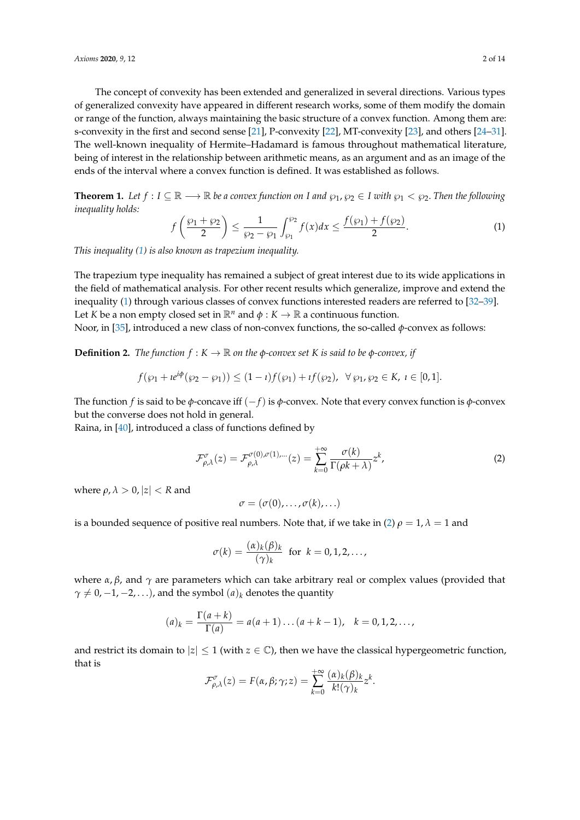The concept of convexity has been extended and generalized in several directions. Various types of generalized convexity have appeared in different research works, some of them modify the domain or range of the function, always maintaining the basic structure of a convex function. Among them are: s-convexity in the first and second sense [\[21\]](#page-12-1), P-convexity [\[22\]](#page-12-2), MT-convexity [\[23\]](#page-12-3), and others [\[24–](#page-12-4)[31\]](#page-12-5). The well-known inequality of Hermite–Hadamard is famous throughout mathematical literature, being of interest in the relationship between arithmetic means, as an argument and as an image of the ends of the interval where a convex function is defined. It was established as follows.

**Theorem 1.** Let  $f: I \subseteq \mathbb{R} \longrightarrow \mathbb{R}$  be a convex function on *I* and  $\wp_1, \wp_2 \in I$  with  $\wp_1 < \wp_2$ . Then the following *inequality holds:*

<span id="page-1-0"></span>
$$
f\left(\frac{\wp_1+\wp_2}{2}\right) \le \frac{1}{\wp_2-\wp_1} \int_{\wp_1}^{\wp_2} f(x)dx \le \frac{f(\wp_1)+f(\wp_2)}{2}.
$$
 (1)

*This inequality [\(1\)](#page-1-0) is also known as trapezium inequality.*

The trapezium type inequality has remained a subject of great interest due to its wide applications in the field of mathematical analysis. For other recent results which generalize, improve and extend the inequality [\(1\)](#page-1-0) through various classes of convex functions interested readers are referred to [\[32](#page-12-6)[–39\]](#page-12-7). Let *K* be a non empty closed set in  $\mathbb{R}^n$  and  $\phi : K \to \mathbb{R}$  a continuous function.

Noor, in [\[35\]](#page-12-8), introduced a new class of non-convex functions, the so-called *φ*-convex as follows:

<span id="page-1-2"></span>**Definition 2.** *The function*  $f : K \to \mathbb{R}$  *on the*  $\phi$ *-convex set K is said to be*  $\phi$ -*convex, if* 

$$
f(\wp_1 + i e^{i\phi}(\wp_2 - \wp_1)) \le (1 - i) f(\wp_1) + i f(\wp_2), \ \ \forall \ \wp_1, \ \wp_2 \in K, \ i \in [0, 1].
$$

The function *f* is said to be *φ*-concave iff (−*f*) is *φ*-convex. Note that every convex function is *φ*-convex but the converse does not hold in general.

Raina, in [\[40\]](#page-12-9), introduced a class of functions defined by

<span id="page-1-1"></span>
$$
\mathcal{F}^{\sigma}_{\rho,\lambda}(z) = \mathcal{F}^{\sigma(0),\sigma(1),\dots}_{\rho,\lambda}(z) = \sum_{k=0}^{+\infty} \frac{\sigma(k)}{\Gamma(\rho k + \lambda)} z^k,
$$
\n(2)

where  $\rho$ ,  $\lambda > 0$ ,  $|z| < R$  and

$$
\sigma=(\sigma(0),\ldots,\sigma(k),\ldots)
$$

is a bounded sequence of positive real numbers. Note that, if we take in [\(2\)](#page-1-1)  $\rho = 1$ ,  $\lambda = 1$  and

$$
\sigma(k) = \frac{(\alpha)_k(\beta)_k}{(\gamma)_k} \text{ for } k = 0, 1, 2, \dots,
$$

where  $\alpha$ ,  $\beta$ , and  $\gamma$  are parameters which can take arbitrary real or complex values (provided that  $\gamma \neq 0, -1, -2, \ldots$ ), and the symbol  $(a)_k$  denotes the quantity

$$
(a)_k = \frac{\Gamma(a+k)}{\Gamma(a)} = a(a+1)\dots(a+k-1), \quad k = 0, 1, 2, \dots,
$$

and restrict its domain to  $|z| \leq 1$  (with  $z \in \mathbb{C}$ ), then we have the classical hypergeometric function, that is

$$
\mathcal{F}^{\sigma}_{\rho,\lambda}(z) = F(\alpha,\beta;\gamma;z) = \sum_{k=0}^{+\infty} \frac{(\alpha)_k(\beta)_k}{k!(\gamma)_k} z^k.
$$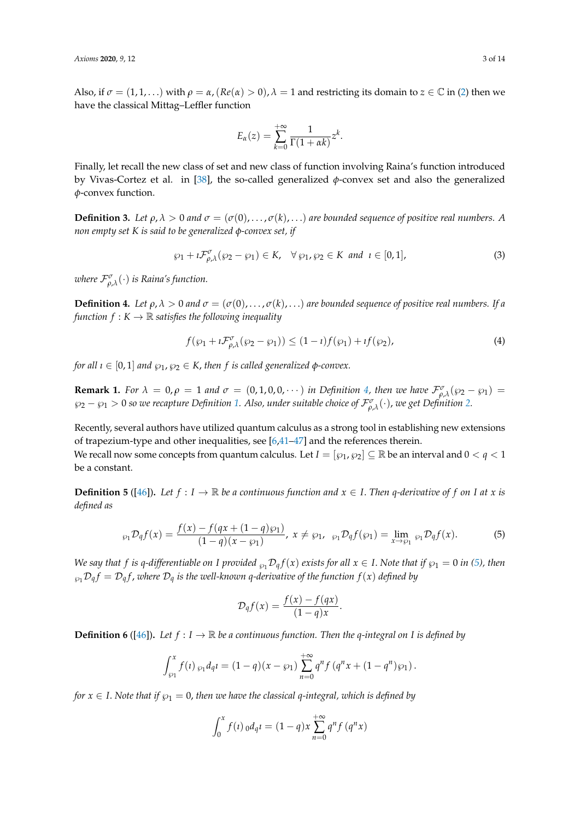Also, if  $\sigma = (1, 1, \dots)$  with  $\rho = \alpha$ ,  $(Re(\alpha) > 0)$ ,  $\lambda = 1$  and restricting its domain to  $z \in \mathbb{C}$  in [\(2\)](#page-1-1) then we have the classical Mittag–Leffler function

$$
E_{\alpha}(z) = \sum_{k=0}^{+\infty} \frac{1}{\Gamma(1 + \alpha k)} z^{k}.
$$

Finally, let recall the new class of set and new class of function involving Raina's function introduced by Vivas-Cortez et al. in [\[38\]](#page-12-10), the so-called generalized *φ*-convex set and also the generalized *φ*-convex function.

**Definition 3.** Let  $\rho$ ,  $\lambda > 0$  and  $\sigma = (\sigma(0), \ldots, \sigma(k), \ldots)$  are bounded sequence of positive real numbers. A *non empty set K is said to be generalized φ-convex set, if*

$$
\wp_1 + i\mathcal{F}^{\sigma}_{\rho,\lambda}(\wp_2 - \wp_1) \in K, \quad \forall \; \wp_1, \wp_2 \in K \; \text{and} \; \; i \in [0,1], \tag{3}
$$

*where* F*<sup>σ</sup> ρ*,*λ* (·) *is Raina's function.*

<span id="page-2-0"></span>**Definition 4.** Let  $\rho, \lambda > 0$  and  $\sigma = (\sigma(0), \ldots, \sigma(k), \ldots)$  are bounded sequence of positive real numbers. If a *function*  $f: K \to \mathbb{R}$  *satisfies the following inequality* 

$$
f(\wp_1 + i\mathcal{F}^{\sigma}_{\rho,\lambda}(\wp_2 - \wp_1)) \le (1 - i)f(\wp_1) + if(\wp_2),
$$
\n(4)

*for all*  $\iota \in [0,1]$  *and*  $\varphi_1, \varphi_2 \in K$ , *then f is called generalized*  $\varphi$ *-convex.* 

**Remark 1.** For  $\lambda = 0, \rho = 1$  and  $\sigma = (0, 1, 0, 0, \cdots)$  in Definition [4,](#page-2-0) then we have  $\mathcal{F}^{\sigma}_{\rho,\lambda}(\wp_2 - \wp_1) =$ ℘<sup>2</sup> − ℘<sup>1</sup> > 0 *so we recapture Definition [1.](#page-0-0) Also, under suitable choice of* F*<sup>σ</sup> ρ*,*λ* (·), *we get Definition [2.](#page-1-2)*

Recently, several authors have utilized quantum calculus as a strong tool in establishing new extensions of trapezium-type and other inequalities, see [\[6](#page-11-5)[,41–](#page-12-11)[47\]](#page-13-0) and the references therein. We recall now some concepts from quantum calculus. Let  $I = [\wp_1, \wp_2] \subseteq \mathbb{R}$  be an interval and  $0 < q < 1$ be a constant.

<span id="page-2-2"></span>**Definition 5** ([\[46\]](#page-13-1)). Let  $f : I \to \mathbb{R}$  be a continuous function and  $x \in I$ . Then *q*-derivative of  $f$  on  $I$  at  $x$  is *defined as*

<span id="page-2-1"></span>
$$
\wp_1 \mathcal{D}_q f(x) = \frac{f(x) - f(qx + (1 - q)\wp_1)}{(1 - q)(x - \wp_1)}, \ x \neq \wp_1, \ \wp_1 \mathcal{D}_q f(\wp_1) = \lim_{x \to \wp_1} \wp_1 \mathcal{D}_q f(x). \tag{5}
$$

*We say that f is q*-differentiable on *I* provided  $\wp_1 \mathcal{D}_q f(x)$  exists for all  $x \in I$ . Note that if  $\wp_1 = 0$  in [\(5\)](#page-2-1), then  $\wp_1\mathcal{D}_qf = \mathcal{D}_qf$ , where  $\mathcal{D}_q$  is the well-known q-derivative of the function  $f(x)$  defined by

$$
\mathcal{D}_q f(x) = \frac{f(x) - f(qx)}{(1 - q)x}.
$$

<span id="page-2-3"></span>**Definition 6** ([\[46\]](#page-13-1)). Let  $f: I \to \mathbb{R}$  be a continuous function. Then the q-integral on I is defined by

$$
\int_{\wp_1}^x f(t) \, \wp_1 d_q t = (1-q)(x-\wp_1) \sum_{n=0}^{+\infty} q^n f(q^n x + (1-q^n) \wp_1).
$$

*for*  $x \in I$ . *Note that if*  $\wp_1 = 0$ , *then we have the classical q-integral, which is defined by* 

$$
\int_0^x f(t) \, d\mu q t = (1-q)x \sum_{n=0}^{+\infty} q^n f(q^n x)
$$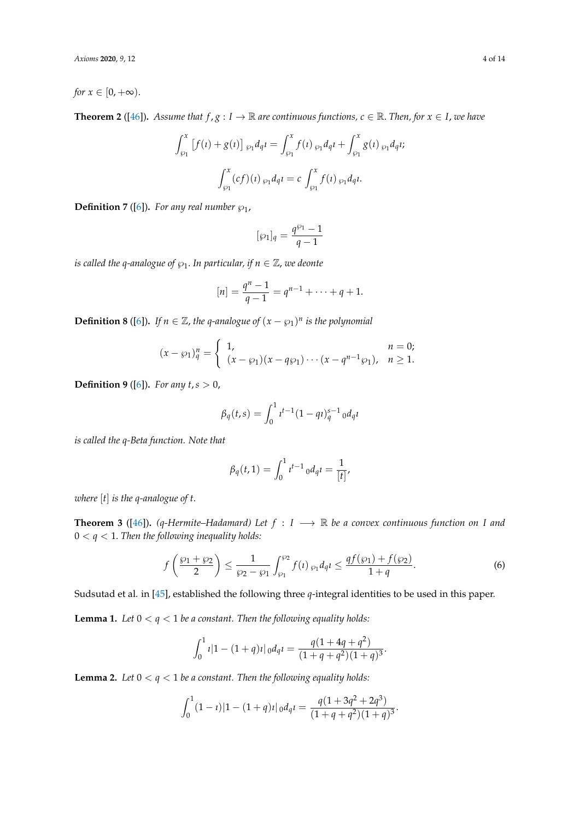*for*  $x \in [0, +\infty)$ .

**Theorem 2** ([\[46\]](#page-13-1)). *Assume that*  $f, g: I \to \mathbb{R}$  *are continuous functions,*  $c \in \mathbb{R}$ *. Then, for*  $x \in I$ *, we have* 

$$
\int_{\wp_1}^x \left[ f(t) + g(t) \right] \, \wp_1 d_q t = \int_{\wp_1}^x f(t) \, \wp_1 d_q t + \int_{\wp_1}^x g(t) \, \wp_1 d_q t;
$$
\n
$$
\int_{\wp_1}^x (cf)(t) \, \wp_1 d_q t = c \, \int_{\wp_1}^x f(t) \, \wp_1 d_q t.
$$

**Definition 7** ([\[6\]](#page-11-5)). For any real number  $\wp_1$ ,

$$
[\wp_1]_q=\frac{q^{\wp_1}-1}{q-1}
$$

*is called the q-analogue of*  $\wp_1$ . *In particular, if n*  $\in \mathbb{Z}$ *, we deonte* 

$$
[n] = \frac{q^n - 1}{q - 1} = q^{n-1} + \dots + q + 1.
$$

**Definition 8** ([\[6\]](#page-11-5)). *If*  $n \in \mathbb{Z}$ , the q-analogue of  $(x - \wp_1)^n$  is the polynomial

$$
(x - \wp_1)_q^n = \begin{cases} 1, & n = 0; \\ (x - \wp_1)(x - q\wp_1) \cdots (x - q^{n-1}\wp_1), & n \ge 1. \end{cases}
$$

**Definition 9** ([\[6\]](#page-11-5))**.** *For any t*,*s* > 0,

$$
\beta_q(t,s) = \int_0^1 t^{t-1} (1 - qt)_q^{s-1} dq
$$

*is called the q-Beta function. Note that*

$$
\beta_q(t,1) = \int_0^1 t^{t-1} \, d\,q \, t = \frac{1}{[t]},
$$

*where* [*t*] *is the q-analogue of t*.

<span id="page-3-2"></span>**Theorem 3** ([\[46\]](#page-13-1)). (q-Hermite–Hadamard) Let  $f : I \longrightarrow \mathbb{R}$  be a convex continuous function on I and  $0 < q < 1$ . Then the following inequality holds:

$$
f\left(\frac{\wp_1+\wp_2}{2}\right) \le \frac{1}{\wp_2-\wp_1} \int_{\wp_1}^{\wp_2} f(t) \, \wp_1 d_q t \le \frac{qf(\wp_1)+f(\wp_2)}{1+q}.\tag{6}
$$

Sudsutad et al. in [\[45\]](#page-12-12), established the following three *q*-integral identities to be used in this paper.

<span id="page-3-0"></span>**Lemma 1.** Let  $0 < q < 1$  be a constant. Then the following equality holds:

$$
\int_0^1 t|1-(1+q)t|_0d_qt = \frac{q(1+4q+q^2)}{(1+q+q^2)(1+q)^3}.
$$

<span id="page-3-1"></span>**Lemma 2.** Let  $0 < q < 1$  be a constant. Then the following equality holds:

$$
\int_0^1 (1 - i) |1 - (1 + q)i|_0 d_q t = \frac{q(1 + 3q^2 + 2q^3)}{(1 + q + q^2)(1 + q)^3}.
$$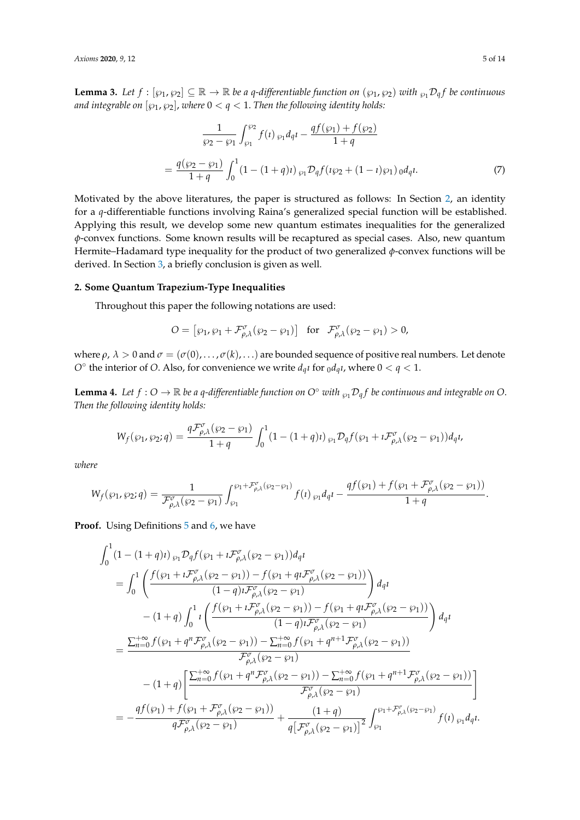<span id="page-4-2"></span>**Lemma 3.** Let  $f : [\wp_1, \wp_2] \subseteq \mathbb{R} \to \mathbb{R}$  be a q-differentiable function on  $(\wp_1, \wp_2)$  with  $\wp_1 \mathcal{D}_q f$  be continuous *and integrable on*  $[\wp_1, \wp_2]$ , *where*  $0 < q < 1$ . *Then the following identity holds:* 

$$
\frac{1}{\wp_2 - \wp_1} \int_{\wp_1}^{\wp_2} f(t) \, \wp_1 d_q t - \frac{q f(\wp_1) + f(\wp_2)}{1 + q} \\
= \frac{q(\wp_2 - \wp_1)}{1 + q} \int_0^1 (1 - (1 + q)t) \, \wp_1 \mathcal{D}_q f(t \wp_2 + (1 - t) \wp_1) \, d_q t. \tag{7}
$$

Motivated by the above literatures, the paper is structured as follows: In Section [2,](#page-4-0) an identity for a *q*-differentiable functions involving Raina's generalized special function will be established. Applying this result, we develop some new quantum estimates inequalities for the generalized *φ*-convex functions. Some known results will be recaptured as special cases. Also, new quantum Hermite–Hadamard type inequality for the product of two generalized *φ*-convex functions will be derived. In Section [3,](#page-10-0) a briefly conclusion is given as well.

#### <span id="page-4-0"></span>**2. Some Quantum Trapezium-Type Inequalities**

Throughout this paper the following notations are used:

$$
O = [\wp_1, \wp_1 + \mathcal{F}^{\sigma}_{\rho,\lambda}(\wp_2 - \wp_1)] \text{ for } \mathcal{F}^{\sigma}_{\rho,\lambda}(\wp_2 - \wp_1) > 0,
$$

where  $\rho$ ,  $\lambda > 0$  and  $\sigma = (\sigma(0), \ldots, \sigma(k), \ldots)$  are bounded sequence of positive real numbers. Let denote *O*<sup> $\circ$ </sup> the interior of *O*. Also, for convenience we write  $d_q$ *t* for  $_0d_q$ *t*, where  $0 < q < 1$ .

<span id="page-4-1"></span>**Lemma 4.** Let  $f: O \to \mathbb{R}$  be a q-differentiable function on  $O^{\circ}$  with  $\wp_1 \mathcal{D}_q f$  be continuous and integrable on  $O$ . *Then the following identity holds:*

$$
W_f(\wp_1, \wp_2; q) = \frac{q\mathcal{F}_{\rho,\lambda}^{\sigma}(\wp_2 - \wp_1)}{1+q} \int_0^1 (1 - (1+q)t) \, \wp_1 \mathcal{D}_q f(\wp_1 + i \mathcal{F}_{\rho,\lambda}^{\sigma}(\wp_2 - \wp_1)) d_q t,
$$

*where*

$$
W_f(\wp_1, \wp_2; q) = \frac{1}{\mathcal{F}_{\rho,\lambda}^{\sigma}(\wp_2 - \wp_1)} \int_{\wp_1}^{\wp_1 + \mathcal{F}_{\rho,\lambda}^{\sigma}(\wp_2 - \wp_1)} f(t) \,_{\wp_1} d_q t - \frac{q f(\wp_1) + f(\wp_1 + \mathcal{F}_{\rho,\lambda}^{\sigma}(\wp_2 - \wp_1))}{1 + q}.
$$

**Proof.** Using Definitions [5](#page-2-2) and [6,](#page-2-3) we have

$$
\int_{0}^{1} (1 - (1 + q) \iota) \wp_{1} \mathcal{D}_{q} f(\wp_{1} + i \mathcal{F}_{\rho,\lambda}^{\sigma}(\wp_{2} - \wp_{1})) d_{q} \iota
$$
\n
$$
= \int_{0}^{1} \left( \frac{f(\wp_{1} + i \mathcal{F}_{\rho,\lambda}^{\sigma}(\wp_{2} - \wp_{1})) - f(\wp_{1} + q \iota \mathcal{F}_{\rho,\lambda}^{\sigma}(\wp_{2} - \wp_{1}))}{(1 - q) \iota \mathcal{F}_{\rho,\lambda}^{\sigma}(\wp_{2} - \wp_{1})} \right) d_{q} \iota
$$
\n
$$
- (1 + q) \int_{0}^{1} \iota \left( \frac{f(\wp_{1} + i \mathcal{F}_{\rho,\lambda}^{\sigma}(\wp_{2} - \wp_{1})) - f(\wp_{1} + q \iota \mathcal{F}_{\rho,\lambda}^{\sigma}(\wp_{2} - \wp_{1}))}{(1 - q) \iota \mathcal{F}_{\rho,\lambda}^{\sigma}(\wp_{2} - \wp_{1})} \right) d_{q} \iota
$$
\n
$$
= \frac{\sum_{n=0}^{+\infty} f(\wp_{1} + q^{n} \mathcal{F}_{\rho,\lambda}^{\sigma}(\wp_{2} - \wp_{1})) - \sum_{n=0}^{+\infty} f(\wp_{1} + q^{n+1} \mathcal{F}_{\rho,\lambda}^{\sigma}(\wp_{2} - \wp_{1}))}{\mathcal{F}_{\rho,\lambda}^{\sigma}(\wp_{2} - \wp_{1})} - (1 + q) \left[ \frac{\sum_{n=0}^{+\infty} f(\wp_{1} + q^{n} \mathcal{F}_{\rho,\lambda}^{\sigma}(\wp_{2} - \wp_{1})) - \sum_{n=0}^{+\infty} f(\wp_{1} + q^{n+1} \mathcal{F}_{\rho,\lambda}^{\sigma}(\wp_{2} - \wp_{1}))}{\mathcal{F}_{\rho,\lambda}^{\sigma}(\wp_{2} - \wp_{1})} \right]
$$
\n
$$
= -\frac{q f(\wp_{1}) + f(\wp_{1} + \mathcal{F}_{\rho,\lambda}^{\sigma}(\wp_{2} - \wp_{1}))}{q \mathcal{F}_{\rho,\lambda}^{\sigma}(\wp_{2} - \wp_{1})} + \frac{(1 + q)}{q \left[ \mathcal{F}_{\rho,\lambda
$$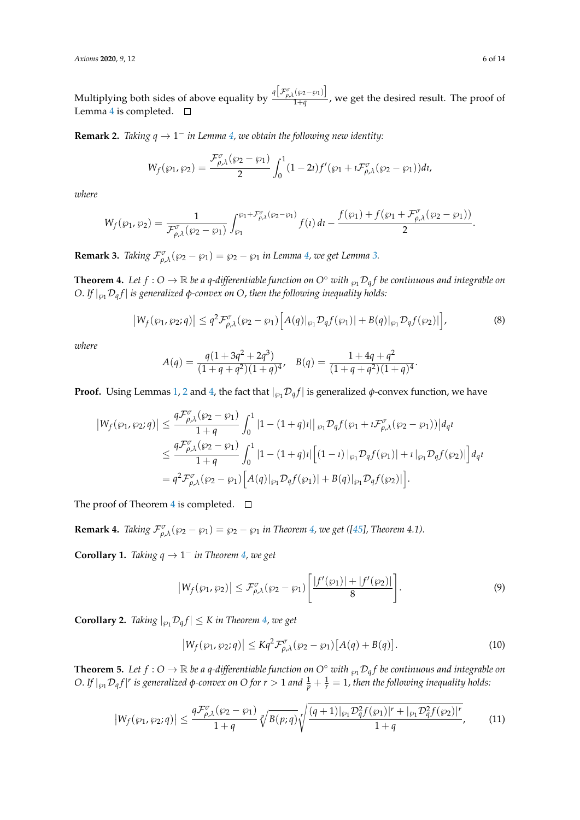Multiplying both sides of above equality by  $q \frac{[F^{\sigma}_{\rho,\lambda}(\wp_2-\wp_1)]}{1+e}$  $\frac{1}{1+q}$ , we get the desired result. The proof of Lemma [4](#page-4-1) is completed.  $\square$ 

**Remark 2.** *Taking*  $q \rightarrow 1^-$  *in Lemma [4,](#page-4-1) we obtain the following new identity:* 

$$
W_f(\wp_1, \wp_2) = \frac{\mathcal{F}^{\sigma}_{\rho,\lambda}(\wp_2 - \wp_1)}{2} \int_0^1 (1 - 2i) f'(\wp_1 + i \mathcal{F}^{\sigma}_{\rho,\lambda}(\wp_2 - \wp_1)) dt,
$$

*where*

$$
W_f(\wp_1, \wp_2) = \frac{1}{\mathcal{F}^{\sigma}_{\rho,\lambda}(\wp_2 - \wp_1)} \int_{\wp_1}^{\wp_1 + \mathcal{F}^{\sigma}_{\rho,\lambda}(\wp_2 - \wp_1)} f(t) dt - \frac{f(\wp_1) + f(\wp_1 + \mathcal{F}^{\sigma}_{\rho,\lambda}(\wp_2 - \wp_1))}{2}.
$$

**Remark [3.](#page-4-2)** *Taking*  $\mathcal{F}^{\sigma}_{\rho,\lambda}(\wp_2 - \wp_1) = \wp_2 - \wp_1$  *in Lemma [4,](#page-4-1) we get Lemma 3.* 

<span id="page-5-0"></span>**Theorem 4.** Let  $f: O \to \mathbb{R}$  be a q-differentiable function on  $O^{\circ}$  with  $\wp_1 \mathcal{D}_q f$  be continuous and integrable on *O. If*  $|_{\varphi_1} \mathcal{D}_q f|$  *is generalized*  $\varphi$ *-convex on O, then the following inequality holds:* 

$$
\left|W_f(\wp_1,\wp_2;q)\right| \leq q^2 \mathcal{F}_{\rho,\lambda}^{\sigma}(\wp_2-\wp_1) \Big[A(q)|_{\wp_1} \mathcal{D}_q f(\wp_1)| + B(q)|_{\wp_1} \mathcal{D}_q f(\wp_2)|\Big],\tag{8}
$$

.

*where*

$$
A(q) = \frac{q(1+3q^2+2q^3)}{(1+q+q^2)(1+q)^4}, \quad B(q) = \frac{1+4q+q^2}{(1+q+q^2)(1+q)^4}
$$

**Proof.** Using Lemmas [1,](#page-3-0) [2](#page-3-1) and [4,](#page-4-1) the fact that  $|_{\varphi_1} \mathcal{D}_q f|$  is generalized  $\varphi$ -convex function, we have

$$
\begin{split} \left|W_f(\wp_1,\wp_2;q)\right| &\leq \frac{q\mathcal{F}^{\sigma}_{\rho,\lambda}(\wp_2-\wp_1)}{1+q} \int_0^1 \left|1-(1+q)u\right| \left|\right._{\wp_1} \mathcal{D}_q f(\wp_1+i\mathcal{F}^{\sigma}_{\rho,\lambda}(\wp_2-\wp_1))\right| d_q \iota \\ &\leq \frac{q\mathcal{F}^{\sigma}_{\rho,\lambda}(\wp_2-\wp_1)}{1+q} \int_0^1 \left|1-(1+q)u\right| \left[(1-\iota)\right|_{\wp_1} \mathcal{D}_q f(\wp_1)\right| + \iota \left|_{\wp_1} \mathcal{D}_q f(\wp_2)\right| \right] d_q \iota \\ &= q^2 \mathcal{F}^{\sigma}_{\rho,\lambda}(\wp_2-\wp_1) \left[A(q)\right|_{\wp_1} \mathcal{D}_q f(\wp_1)\right| + B(q)\left|_{\wp_1} \mathcal{D}_q f(\wp_2)\right| \big]. \end{split}
$$

The proof of Theorem [4](#page-5-0) is completed.  $\Box$ 

**Remark 4.** *Taking*  $\mathcal{F}^{\sigma}_{\rho,\lambda}(\wp_2 - \wp_1) = \wp_2 - \wp_1$  *in Theorem [4,](#page-5-0) we get* ([\[45\]](#page-12-12)*, Theorem 4.1*).

**Corollary 1.** *Taking*  $q \rightarrow 1^-$  *in Theorem* [4,](#page-5-0) *we get* 

$$
|W_f(\wp_1, \wp_2)| \leq \mathcal{F}^{\sigma}_{\rho, \lambda}(\wp_2 - \wp_1) \left[ \frac{|f'(\wp_1)| + |f'(\wp_2)|}{8} \right]. \tag{9}
$$

**Corollary 2.** *Taking*  $|_{\wp_1} \mathcal{D}_q f | \le K$  *in Theorem [4,](#page-5-0) we get* 

$$
\left|W_f(\wp_1, \wp_2; q)\right| \leq K q^2 \mathcal{F}^{\sigma}_{\rho, \lambda}(\wp_2 - \wp_1) \left[A(q) + B(q)\right].\tag{10}
$$

<span id="page-5-1"></span>**Theorem 5.** Let  $f: O \to \mathbb{R}$  be a q-differentiable function on  $O^{\circ}$  with  $\wp_1 \mathcal{D}_q f$  be continuous and integrable on *O*. If  $|_{\wp_1} \mathcal{D}_q f |$ <sup>r</sup> is generalized φ-convex on *O* for  $r > 1$  and  $\frac{1}{p} + \frac{1}{r} = 1$ , then the following inequality holds:

$$
|W_f(\wp_1, \wp_2; q)| \le \frac{q \mathcal{F}_{\rho,\lambda}^{\sigma}(\wp_2 - \wp_1)}{1 + q} \sqrt[p]{B(p; q)} \sqrt[r]{\frac{(q+1)|_{\wp_1} \mathcal{D}_{q}^2 f(\wp_1)|^r + |_{\wp_1} \mathcal{D}_{q}^2 f(\wp_2)|^r}{1 + q}},\tag{11}
$$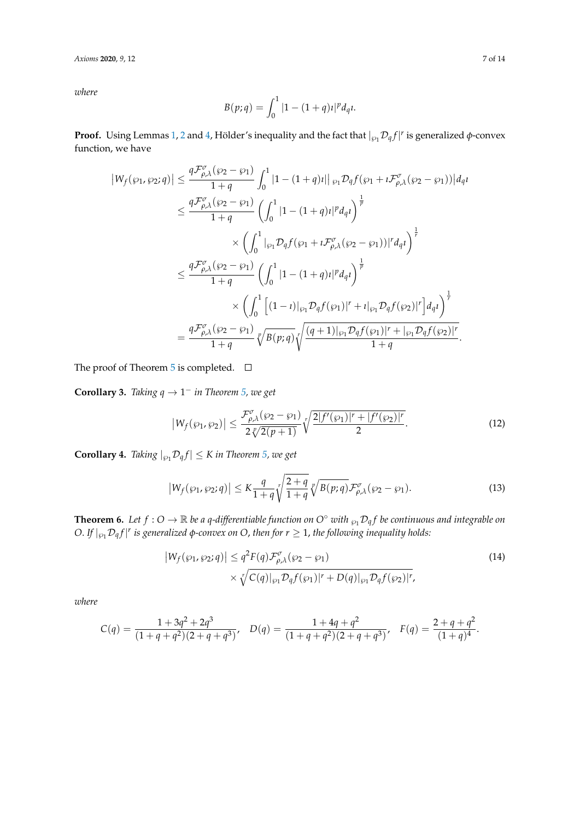*Axioms* **2020**, *9*, 12 7 of 14

*where*

$$
B(p;q) = \int_0^1 |1 - (1+q)i|^p d_q.
$$

**Proof.** Using Lemmas [1,](#page-3-0) [2](#page-3-1) and [4,](#page-4-1) Hölder's inequality and the fact that  $|_{\wp_1}\mathcal{D}_q f|^r$  is generalized  $\phi$ -convex function, we have

$$
\begin{split} |W_f(\wp_1, \wp_2; q)| &\leq \frac{q \mathcal{F}^{\sigma}_{\rho,\lambda}(\wp_2 - \wp_1)}{1+q} \int_0^1 |1 - (1+q)i| \, |\wp_1 \mathcal{D}_q f(\wp_1 + i \mathcal{F}^{\sigma}_{\rho,\lambda}(\wp_2 - \wp_1))| d_q \iota \\ &\leq \frac{q \mathcal{F}^{\sigma}_{\rho,\lambda}(\wp_2 - \wp_1)}{1+q} \left( \int_0^1 |1 - (1+q)i|^p d_q \iota \right)^{\frac{1}{p}} \\ &\times \left( \int_0^1 |\wp_1 \mathcal{D}_q f(\wp_1 + i \mathcal{F}^{\sigma}_{\rho,\lambda}(\wp_2 - \wp_1))|^r d_q \iota \right)^{\frac{1}{r}} \\ &\leq \frac{q \mathcal{F}^{\sigma}_{\rho,\lambda}(\wp_2 - \wp_1)}{1+q} \left( \int_0^1 |1 - (1+q)i|^p d_q \iota \right)^{\frac{1}{p}} \\ &\times \left( \int_0^1 \left[ (1-i)|_{\wp_1} \mathcal{D}_q f(\wp_1) \right|^r + i|_{\wp_1} \mathcal{D}_q f(\wp_2) |^r \right] d_q \iota \right)^{\frac{1}{r}} \\ &= \frac{q \mathcal{F}^{\sigma}_{\rho,\lambda}(\wp_2 - \wp_1)}{1+q} \sqrt[p]{B(p;q)} \sqrt[r]{\frac{(q+1)|_{\wp_1} \mathcal{D}_q f(\wp_1) |^r + |_{\wp_1} \mathcal{D}_q f(\wp_2) |^r}{1+q}} . \end{split}
$$

The proof of Theorem [5](#page-5-1) is completed.  $\square$ 

**Corollary 3.** *Taking*  $q \rightarrow 1^-$  *in Theorem* [5,](#page-5-1) *we get* 

$$
\left|W_f(\wp_1, \wp_2)\right| \le \frac{\mathcal{F}^{\sigma}_{\rho, \lambda}(\wp_2 - \wp_1)}{2\sqrt[p]{2(p+1)}} \sqrt[p]{\frac{2|f'(\wp_1)|^r + |f'(\wp_2)|^r}{2}}.
$$
\n(12)

**Corollary 4.** *Taking*  $|_{\varphi_1} \mathcal{D}_q f| \le K$  *in Theorem [5,](#page-5-1) we get* 

$$
\left|W_f(\wp_1, \wp_2; q)\right| \le K \frac{q}{1+q} \sqrt[r]{\frac{2+q}{1+q}} \sqrt[p]{B(p; q)} \mathcal{F}^{\sigma}_{\rho, \lambda}(\wp_2 - \wp_1). \tag{13}
$$

<span id="page-6-0"></span>**Theorem 6.** Let  $f: O \to \mathbb{R}$  be a q-differentiable function on  $O^{\circ}$  with  $\wp_1 \mathcal{D}_q f$  be continuous and integrable on  $O.$  *If*  $|_{\wp_1} \mathcal{D}_q f |^r$  is generalized  $\phi$ -convex on  $O$ , then for  $r \geq 1$ , the following inequality holds:

$$
\left|W_f(\wp_1, \wp_2; q)\right| \le q^2 F(q) \mathcal{F}_{\rho, \lambda}^{\sigma}(\wp_2 - \wp_1)
$$
  
 
$$
\times \sqrt[r]{C(q)|_{\wp_1} \mathcal{D}_q f(\wp_1)|^r + D(q)|_{\wp_1} \mathcal{D}_q f(\wp_2)|^r},
$$
 (14)

*where*

$$
C(q) = \frac{1 + 3q^2 + 2q^3}{(1 + q + q^2)(2 + q + q^3)}, \quad D(q) = \frac{1 + 4q + q^2}{(1 + q + q^2)(2 + q + q^3)}, \quad F(q) = \frac{2 + q + q^2}{(1 + q)^4}.
$$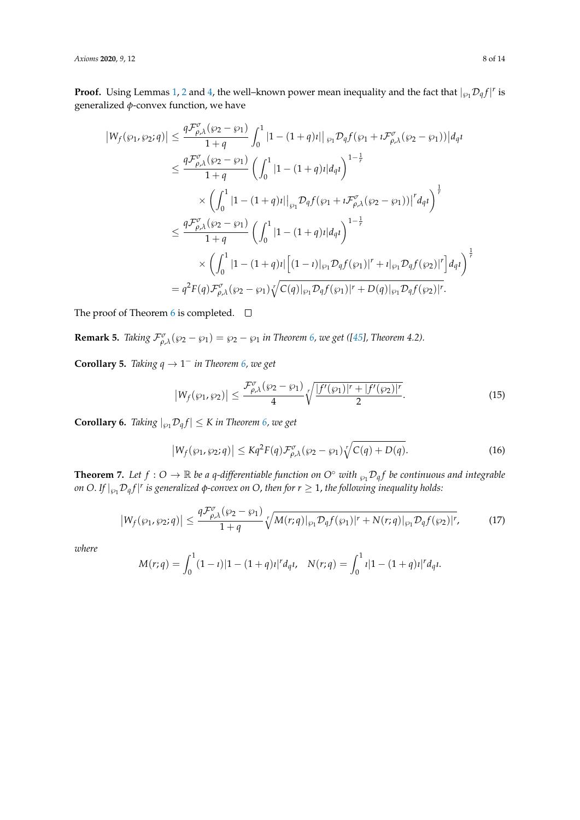*Axioms* **2020**, 9, 12 8 of 14

**Proof.** Using Lemmas [1,](#page-3-0) [2](#page-3-1) and [4,](#page-4-1) the well-known power mean inequality and the fact that  $|_{\wp_1} \mathcal{D}_q f|^r$  is generalized *φ*-convex function, we have

$$
\begin{split} \left|W_{f}(\wp_{1},\wp_{2};q)\right| &\leq \frac{q\mathcal{F}_{\rho,\lambda}^{\sigma}(\wp_{2}-\wp_{1})}{1+q}\int_{0}^{1}\left|1-(1+q)\imath\right|\right|\wp_{1}\mathcal{D}_{q}f(\wp_{1}+i\mathcal{F}_{\rho,\lambda}^{\sigma}(\wp_{2}-\wp_{1}))\left|d_{q}\imath\right. \\ &\leq \frac{q\mathcal{F}_{\rho,\lambda}^{\sigma}(\wp_{2}-\wp_{1})}{1+q}\left(\int_{0}^{1}\left|1-(1+q)\imath\right|d_{q}\imath\right)^{1-\frac{1}{r}}\\ &\times\left(\int_{0}^{1}\left|1-(1+q)\imath\right|\right|\wp_{1}\mathcal{D}_{q}f(\wp_{1}+i\mathcal{F}_{\rho,\lambda}^{\sigma}(\wp_{2}-\wp_{1}))\left|^{r}d_{q}\imath\right)^{\frac{1}{r}}\\ &\leq \frac{q\mathcal{F}_{\rho,\lambda}^{\sigma}(\wp_{2}-\wp_{1})}{1+q}\left(\int_{0}^{1}\left|1-(1+q)\imath\right|d_{q}\imath\right)^{1-\frac{1}{r}}\\ &\times\left(\int_{0}^{1}\left|1-(1+q)\imath\right|\left[(1-\imath)\right|\wp_{1}\mathcal{D}_{q}f(\wp_{1})\right|^{r}+\imath\left|_{\wp_{1}}\mathcal{D}_{q}f(\wp_{2})\right|^{r}\right)d_{q}\imath\right)^{\frac{1}{r}}\\ &=q^{2}F(q)\mathcal{F}_{\rho,\lambda}^{\sigma}(\wp_{2}-\wp_{1})\sqrt[r]{C(q)\mid_{\wp_{1}}\mathcal{D}_{q}f(\wp_{1})\mid^{r}+D(q)\mid_{\wp_{1}}\mathcal{D}_{q}f(\wp_{2})\mid^{r}.\end{split}
$$

The proof of Theorem [6](#page-6-0) is completed.  $\square$ 

**Remark 5.** *Taking*  $\mathcal{F}^{\sigma}_{\rho,\lambda}(\wp_2 - \wp_1) = \wp_2 - \wp_1$  *in Theorem [6,](#page-6-0) we get ([\[45\]](#page-12-12), Theorem 4.2).* 

**Corollary 5.** *Taking*  $q \rightarrow 1^-$  *in Theorem* [6,](#page-6-0) we get

$$
\left|W_f(\wp_1,\wp_2)\right| \le \frac{\mathcal{F}^{\sigma}_{\rho,\lambda}(\wp_2-\wp_1)}{4} \sqrt[r]{\frac{|f'(\wp_1)|^r + |f'(\wp_2)|^r}{2}}.
$$
\n(15)

**Corollary 6.** *Taking*  $|_{\wp_1} \mathcal{D}_q f| \le K$  *in Theorem [6,](#page-6-0) we get* 

$$
\left|W_f(\wp_1,\wp_2;q)\right| \leq Kq^2 F(q) \mathcal{F}^{\sigma}_{\rho,\lambda}(\wp_2-\wp_1) \sqrt[r]{C(q)+D(q)}.
$$
 (16)

<span id="page-7-0"></span>**Theorem 7.** Let  $f: O \to \mathbb{R}$  be a q-differentiable function on  $O^{\circ}$  with  $\wp_1 \mathcal{D}_q f$  be continuous and integrable *on O. If*  $|_{\wp_1}\mathcal{D}_q f |^r$  *is generalized φ-convex on O, then for r*  $\geq$  1*, the following inequality holds:* 

$$
\left|W_f(\wp_1,\wp_2;q)\right| \leq \frac{q\mathcal{F}^{\sigma}_{\rho,\lambda}(\wp_2-\wp_1)}{1+q} \sqrt[r]{M(r;q)|_{\wp_1}\mathcal{D}_q f(\wp_1)|^r + N(r;q)|_{\wp_1}\mathcal{D}_q f(\wp_2)|^r},\tag{17}
$$

*where*

$$
M(r;q) = \int_0^1 (1-t) |1 - (1+q)t|^r d_q t, \quad N(r;q) = \int_0^1 t |1 - (1+q)t|^r d_q t.
$$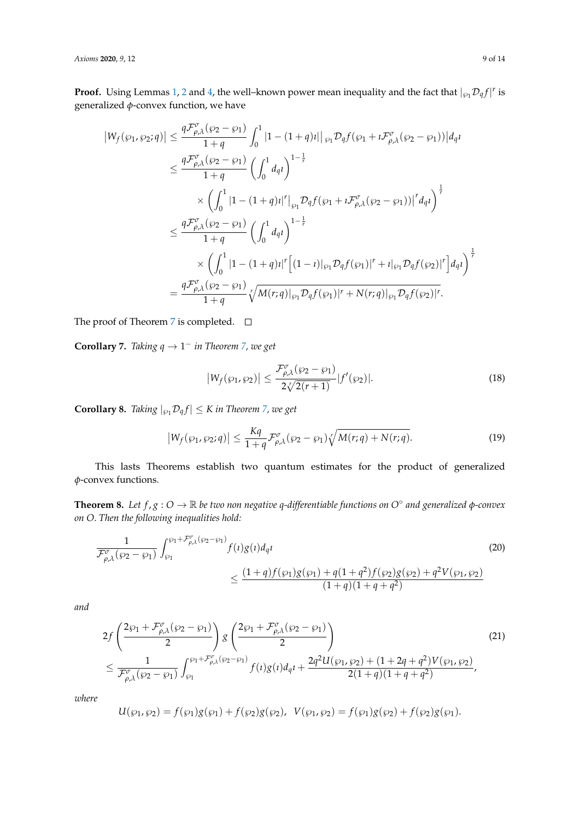**Proof.** Using Lemmas [1,](#page-3-0) [2](#page-3-1) and [4,](#page-4-1) the well-known power mean inequality and the fact that  $|_{\wp_1} \mathcal{D}_q f|^r$  is generalized *φ*-convex function, we have

$$
\begin{split} \left|W_{f}(\wp_{1},\wp_{2};q)\right| &\leq \frac{q\mathcal{F}_{\rho,\lambda}^{\sigma}(\wp_{2}-\wp_{1})}{1+q}\int_{0}^{1}\left|1-(1+q)1\right|\left|\wp_{1}\mathcal{D}_{q}f(\wp_{1}+i\mathcal{F}_{\rho,\lambda}^{\sigma}(\wp_{2}-\wp_{1}))\right|d_{q}1 \\ &\leq \frac{q\mathcal{F}_{\rho,\lambda}^{\sigma}(\wp_{2}-\wp_{1})}{1+q}\left(\int_{0}^{1}d_{q}1\right)^{1-\frac{1}{r}} \\ &\times\left(\int_{0}^{1}\left|1-(1+q)1\right|^{r}\right|\left|\wp_{1}\mathcal{D}_{q}f(\wp_{1}+i\mathcal{F}_{\rho,\lambda}^{\sigma}(\wp_{2}-\wp_{1}))\right|^{r}d_{q}1\right)^{\frac{1}{r}} \\ &\leq \frac{q\mathcal{F}_{\rho,\lambda}^{\sigma}(\wp_{2}-\wp_{1})}{1+q}\left(\int_{0}^{1}d_{q}1\right)^{1-\frac{1}{r}} \\ &\times\left(\int_{0}^{1}\left|1-(1+q)1\right|^{r}\left[(1-\iota)\right|\wp_{1}\mathcal{D}_{q}f(\wp_{1})\right|^{r}+i\left|\wp_{1}\mathcal{D}_{q}f(\wp_{2})\right|^{r}\right)d_{q}1\right)^{\frac{1}{r}} \\ &=\frac{q\mathcal{F}_{\rho,\lambda}^{\sigma}(\wp_{2}-\wp_{1})}{1+q}\sqrt[r]{M(r;q)|_{\wp_{1}}\mathcal{D}_{q}f(\wp_{1})|^{r}+N(r;q)|_{\wp_{1}}\mathcal{D}_{q}f(\wp_{2})|^{r}}.\end{split}
$$

The proof of Theorem [7](#page-7-0) is completed.  $\square$ 

**Corollary 7.** *Taking*  $q \rightarrow 1^-$  *in Theorem [7,](#page-7-0) we get* 

<span id="page-8-0"></span>
$$
\left|W_f(\wp_1, \wp_2)\right| \le \frac{\mathcal{F}^{\sigma}_{\rho,\lambda}(\wp_2 - \wp_1)}{2\sqrt{\mathcal{Z}(\rho + 1)}} |f'(\wp_2)|. \tag{18}
$$

**Corollary 8.** *Taking*  $|_{\wp_1} \mathcal{D}_q f | \le K$  *in Theorem [7,](#page-7-0) we get* 

<span id="page-8-1"></span>
$$
\left|W_f(\wp_1, \wp_2; q)\right| \le \frac{Kq}{1+q} \mathcal{F}^{\sigma}_{\rho,\lambda}(\wp_2 - \wp_1) \sqrt[r]{M(r;q) + N(r;q)}.
$$
\n(19)

This lasts Theorems establish two quantum estimates for the product of generalized *φ*-convex functions.

<span id="page-8-2"></span>**Theorem 8.** *Let f* , *g* : *O* → R *be two non negative q-differentiable functions on O*◦ *and generalized φ-convex on O*. *Then the following inequalities hold:*

$$
\frac{1}{\mathcal{F}^{\sigma}_{\rho,\lambda}(\wp_2 - \wp_1)} \int_{\wp_1}^{\wp_1 + \mathcal{F}^{\sigma}_{\rho,\lambda}(\wp_2 - \wp_1)} f(t)g(t) d_q t \tag{20}
$$
\n
$$
\leq \frac{(1+q)f(\wp_1)g(\wp_1) + q(1+q^2)f(\wp_2)g(\wp_2) + q^2V(\wp_1, \wp_2)}{(1+q)(1+q+q^2)}
$$

*and*

$$
2f\left(\frac{2\wp_1 + \mathcal{F}_{\rho,\lambda}^{\sigma}(\wp_2 - \wp_1)}{2}\right) g\left(\frac{2\wp_1 + \mathcal{F}_{\rho,\lambda}^{\sigma}(\wp_2 - \wp_1)}{2}\right)
$$
  

$$
\leq \frac{1}{\mathcal{F}_{\rho,\lambda}^{\sigma}(\wp_2 - \wp_1)} \int_{\wp_1}^{\wp_1 + \mathcal{F}_{\rho,\lambda}^{\sigma}(\wp_2 - \wp_1)} f(t)g(t) d_q t + \frac{2q^2 U(\wp_1, \wp_2) + (1 + 2q + q^2)V(\wp_1, \wp_2)}{2(1 + q)(1 + q + q^2)},
$$
\n(21)

*where*

$$
U(\wp_1, \wp_2) = f(\wp_1)g(\wp_1) + f(\wp_2)g(\wp_2), \ \ V(\wp_1, \wp_2) = f(\wp_1)g(\wp_2) + f(\wp_2)g(\wp_1).
$$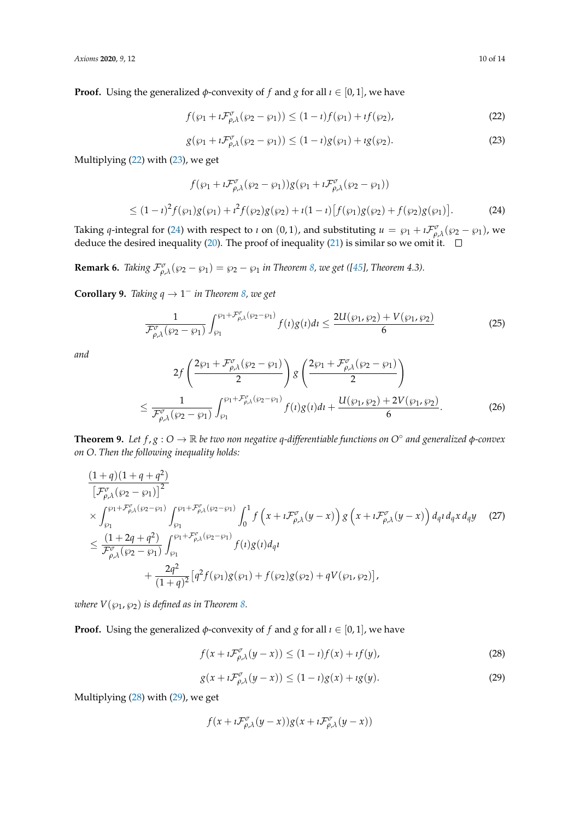**Proof.** Using the generalized  $\phi$ -convexity of *f* and *g* for all  $\iota \in [0,1]$ , we have

<span id="page-9-0"></span>
$$
f(\wp_1 + i\mathcal{F}^{\sigma}_{\rho,\lambda}(\wp_2 - \wp_1)) \le (1 - i)f(\wp_1) + if(\wp_2),
$$
\n(22)

<span id="page-9-1"></span>
$$
g(\wp_1 + i\mathcal{F}_{\rho,\lambda}^{\sigma}(\wp_2 - \wp_1)) \le (1 - i)g(\wp_1) + ig(\wp_2). \tag{23}
$$

Multiplying [\(22\)](#page-9-0) with [\(23\)](#page-9-1), we get

<span id="page-9-2"></span>
$$
f(\wp_1 + i\mathcal{F}^{\sigma}_{\rho,\lambda}(\wp_2 - \wp_1))g(\wp_1 + i\mathcal{F}^{\sigma}_{\rho,\lambda}(\wp_2 - \wp_1))
$$
  
 
$$
\leq (1 - i)^2 f(\wp_1)g(\wp_1) + i^2 f(\wp_2)g(\wp_2) + i(1 - i)[f(\wp_1)g(\wp_2) + f(\wp_2)g(\wp_1)].
$$
 (24)

Taking *q*-integral for [\(24\)](#page-9-2) with respect to *i* on (0, 1), and substituting  $u = \wp_1 + \iota \mathcal{F}^{\sigma}_{\rho,\lambda}(\wp_2 - \wp_1)$ , we deduce the desired inequality [\(20\)](#page-8-0). The proof of inequality [\(21\)](#page-8-1) is similar so we omit it.

**Remark 6.** *Taking*  $\mathcal{F}^{\sigma}_{\rho,\lambda}(\wp_2 - \wp_1) = \wp_2 - \wp_1$  *in Theorem [8,](#page-8-2) we get* ([\[45\]](#page-12-12)*, Theorem 4.3).* 

**Corollary 9.** *Taking*  $q \rightarrow 1^-$  *in Theorem [8,](#page-8-2) we get* 

$$
\frac{1}{\mathcal{F}^{\sigma}_{\rho,\lambda}(\wp_2-\wp_1)} \int_{\wp_1}^{\wp_1+\mathcal{F}^{\sigma}_{\rho,\lambda}(\wp_2-\wp_1)} f(t)g(t)dt \leq \frac{2U(\wp_1,\wp_2)+V(\wp_1,\wp_2)}{6}
$$
(25)

*and*

$$
2f\left(\frac{2\wp_1 + \mathcal{F}_{\rho,\lambda}^{\sigma}(\wp_2 - \wp_1)}{2}\right)g\left(\frac{2\wp_1 + \mathcal{F}_{\rho,\lambda}^{\sigma}(\wp_2 - \wp_1)}{2}\right)
$$
  

$$
\leq \frac{1}{\mathcal{F}_{\rho,\lambda}^{\sigma}(\wp_2 - \wp_1)} \int_{\wp_1}^{\wp_1 + \mathcal{F}_{\rho,\lambda}^{\sigma}(\wp_2 - \wp_1)} f(t)g(t)dt + \frac{U(\wp_1, \wp_2) + 2V(\wp_1, \wp_2)}{6}.
$$
 (26)

<span id="page-9-5"></span>**Theorem 9.** *Let f* , *g* : *O* → R *be two non negative q-differentiable functions on O*◦ *and generalized φ-convex on O*. *Then the following inequality holds:*

$$
\frac{(1+q)(1+q+q^{2})}{[\mathcal{F}^{\sigma}_{\rho,\lambda}(\wp_{2}-\wp_{1})]^{2}}\times \int_{\wp_{1}}^{\wp_{1}+\mathcal{F}^{\sigma}_{\rho,\lambda}(\wp_{2}-\wp_{1})} \int_{\wp_{1}}^{\wp_{1}+\mathcal{F}^{\sigma}_{\rho,\lambda}(\wp_{2}-\wp_{1})} \int_{0}^{1} f(x+i\mathcal{F}^{\sigma}_{\rho,\lambda}(y-x)) g(x+i\mathcal{F}^{\sigma}_{\rho,\lambda}(y-x)) d_{q} d_{q} x d_{q} y \quad (27)
$$
\n
$$
\leq \frac{(1+2q+q^{2})}{\mathcal{F}^{\sigma}_{\rho,\lambda}(\wp_{2}-\wp_{1})} \int_{\wp_{1}}^{\wp_{1}+\mathcal{F}^{\sigma}_{\rho,\lambda}(\wp_{2}-\wp_{1})} f(t) g(t) d_{q} t + \frac{2q^{2}}{(1+q)^{2}} [q^{2} f(\wp_{1}) g(\wp_{1}) + f(\wp_{2}) g(\wp_{2}) + q V(\wp_{1}, \wp_{2})],
$$

*where*  $V(\wp_1, \wp_2)$  *is defined as in Theorem [8.](#page-8-2)* 

**Proof.** Using the generalized  $\phi$ -convexity of *f* and *g* for all  $\iota \in [0,1]$ , we have

<span id="page-9-3"></span>
$$
f(x + i\mathcal{F}^{\sigma}_{\rho,\lambda}(y - x)) \le (1 - i)f(x) + if(y),
$$
\n(28)

<span id="page-9-4"></span>
$$
g(x + i\mathcal{F}^{\sigma}_{\rho,\lambda}(y - x)) \le (1 - i)g(x) + i g(y).
$$
 (29)

Multiplying [\(28\)](#page-9-3) with [\(29\)](#page-9-4), we get

$$
f(x + i\mathcal{F}^{\sigma}_{\rho,\lambda}(y - x))g(x + i\mathcal{F}^{\sigma}_{\rho,\lambda}(y - x))
$$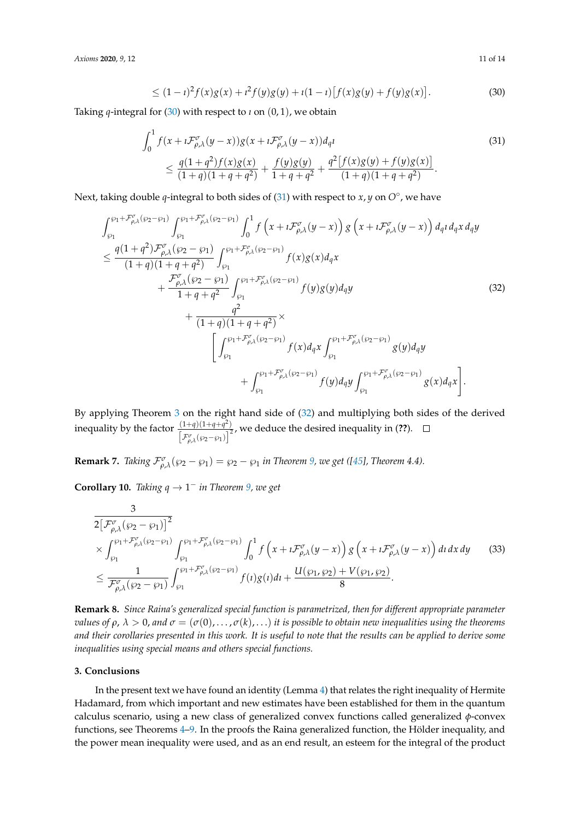*Axioms* **2020**, *9*, 12 11 of 14

<span id="page-10-1"></span>
$$
\leq (1 - i)^2 f(x)g(x) + i^2 f(y)g(y) + i(1 - i)[f(x)g(y) + f(y)g(x)].
$$
\n(30)

Taking *q*-integral for [\(30\)](#page-10-1) with respect to *i* on  $(0, 1)$ , we obtain

$$
\int_0^1 f(x + i\mathcal{F}^{\sigma}_{\rho,\lambda}(y - x))g(x + i\mathcal{F}^{\sigma}_{\rho,\lambda}(y - x))d_q t
$$
\n
$$
\leq \frac{q(1+q^2)f(x)g(x)}{(1+q)(1+q+q^2)} + \frac{f(y)g(y)}{1+q+q^2} + \frac{q^2[f(x)g(y) + f(y)g(x)]}{(1+q)(1+q+q^2)}.
$$
\n(31)

Next, taking double *q*-integral to both sides of [\(31\)](#page-10-2) with respect to *x*, *y* on  $O^{\circ}$ , we have

$$
\int_{\wp_1}^{\wp_1 + \mathcal{F}_{\rho,\lambda}^{\sigma}(\wp_2 - \wp_1)} \int_{\wp_1}^{\wp_1 + \mathcal{F}_{\rho,\lambda}^{\sigma}(\wp_2 - \wp_1)} \int_0^1 f\left(x + i \mathcal{F}_{\rho,\lambda}^{\sigma}(y - x)\right) g\left(x + i \mathcal{F}_{\rho,\lambda}^{\sigma}(y - x)\right) d_q t d_q x d_q y
$$
\n
$$
\leq \frac{q(1+q^2)\mathcal{F}_{\rho,\lambda}^{\sigma}(\wp_2 - \wp_1)}{(1+q)(1+q+q^2)} \int_{\wp_1}^{\wp_1 + \mathcal{F}_{\rho,\lambda}^{\sigma}(\wp_2 - \wp_1)} f(x)g(x) d_q x + \frac{\mathcal{F}_{\rho,\lambda}^{\sigma}(\wp_2 - \wp_1)}{1+q+q^2} \int_{\wp_1}^{\wp_1 + \mathcal{F}_{\rho,\lambda}^{\sigma}(\wp_2 - \wp_1)} f(y)g(y) d_q y \qquad (32)
$$
\n
$$
+ \frac{q^2}{(1+q)(1+q+q^2)} \times \left[ \int_{\wp_1}^{\wp_1 + \mathcal{F}_{\rho,\lambda}^{\sigma}(\wp_2 - \wp_1)} f(x) d_q x \int_{\wp_1}^{\wp_1 + \mathcal{F}_{\rho,\lambda}^{\sigma}(\wp_2 - \wp_1)} g(y) d_q y + \int_{\wp_1}^{\wp_1 + \mathcal{F}_{\rho,\lambda}^{\sigma}(\wp_2 - \wp_1)} f(y) d_q y \int_{\wp_1}^{\wp_1 + \mathcal{F}_{\rho,\lambda}^{\sigma}(\wp_2 - \wp_1)} g(x) d_q x \right].
$$

By applying Theorem [3](#page-3-2) on the right hand side of [\(32\)](#page-10-3) and multiplying both sides of the derived inequality by the factor  $\frac{(1+q)(1+q+q^2)}{q^2}$  $\frac{\sqrt{A^2 + 4g^2 + 4g^2}}{\left[\mathcal{F}_{\rho,\lambda}^{\sigma}(\wp_2 - \wp_1)\right]^2}$ , we deduce the desired inequality in (??).

**Remark 7.** *Taking*  $\mathcal{F}^{\sigma}_{\rho,\lambda}(\wp_2 - \wp_1) = \wp_2 - \wp_1$  *in Theorem [9,](#page-9-5) we get* ([\[45\]](#page-12-12)*, Theorem 4.4*).

**Corollary 10.** *Taking*  $q \rightarrow 1^-$  *in Theorem* [9,](#page-9-5) *we get* 

$$
\frac{3}{2\left[\mathcal{F}^{\sigma}_{\rho,\lambda}(\wp_2-\wp_1)\right]^2} \times \int_{\wp_1}^{\wp_1+\mathcal{F}^{\sigma}_{\rho,\lambda}(\wp_2-\wp_1)} \int_{\wp_1}^{\wp_1+\mathcal{F}^{\sigma}_{\rho,\lambda}(\wp_2-\wp_1)} \int_0^1 f\left(x+i\mathcal{F}^{\sigma}_{\rho,\lambda}(y-x)\right) g\left(x+i\mathcal{F}^{\sigma}_{\rho,\lambda}(y-x)\right) dt dx dy \qquad (33)
$$
\n
$$
\leq \frac{1}{\mathcal{F}^{\sigma}_{\rho,\lambda}(\wp_2-\wp_1)} \int_{\wp_1}^{\wp_1+\mathcal{F}^{\sigma}_{\rho,\lambda}(\wp_2-\wp_1)} f(t) g(t) dt + \frac{U(\wp_1,\wp_2)+V(\wp_1,\wp_2)}{8}.
$$

**Remark 8.** *Since Raina's generalized special function is parametrized, then for different appropriate parameter values of*  $\rho$ ,  $\lambda > 0$ , and  $\sigma = (\sigma(0), \ldots, \sigma(k), \ldots)$  *it is possible to obtain new inequalities using the theorems and their corollaries presented in this work. It is useful to note that the results can be applied to derive some inequalities using special means and others special functions.*

#### <span id="page-10-0"></span>**3. Conclusions**

In the present text we have found an identity (Lemma [4\)](#page-4-1) that relates the right inequality of Hermite Hadamard, from which important and new estimates have been established for them in the quantum calculus scenario, using a new class of generalized convex functions called generalized *φ*-convex functions, see Theorems [4–](#page-5-0)[9.](#page-9-5) In the proofs the Raina generalized function, the Hölder inequality, and the power mean inequality were used, and as an end result, an esteem for the integral of the product

<span id="page-10-3"></span><span id="page-10-2"></span>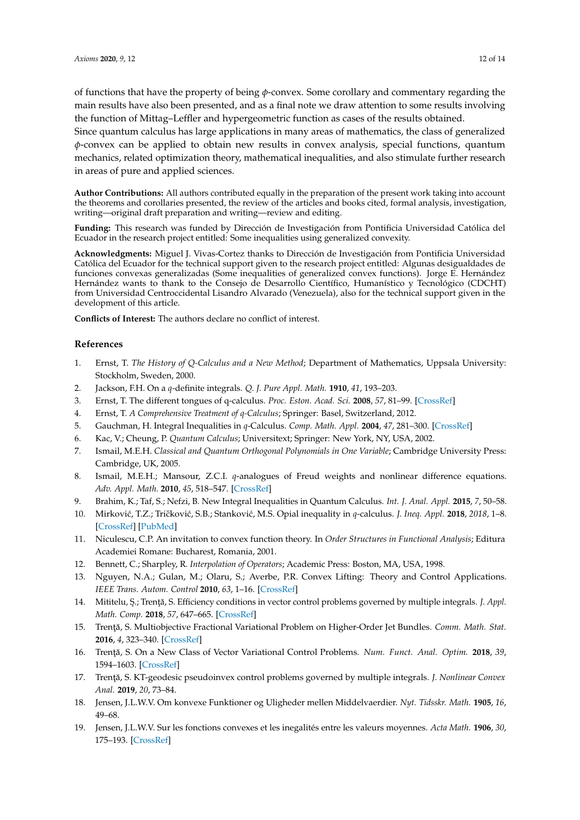of functions that have the property of being *φ*-convex. Some corollary and commentary regarding the main results have also been presented, and as a final note we draw attention to some results involving the function of Mittag–Leffler and hypergeometric function as cases of the results obtained.

Since quantum calculus has large applications in many areas of mathematics, the class of generalized *φ*-convex can be applied to obtain new results in convex analysis, special functions, quantum mechanics, related optimization theory, mathematical inequalities, and also stimulate further research in areas of pure and applied sciences.

**Author Contributions:** All authors contributed equally in the preparation of the present work taking into account the theorems and corollaries presented, the review of the articles and books cited, formal analysis, investigation, writing—original draft preparation and writing—review and editing.

**Funding:** This research was funded by Dirección de Investigación from Pontificia Universidad Católica del Ecuador in the research project entitled: Some inequalities using generalized convexity.

**Acknowledgments:** Miguel J. Vivas-Cortez thanks to Dirección de Investigación from Pontificia Universidad Católica del Ecuador for the technical support given to the research project entitled: Algunas desigualdades de funciones convexas generalizadas (Some inequalities of generalized convex functions). Jorge E. Hernández Hernández wants to thank to the Consejo de Desarrollo Científico, Humanístico y Tecnológico (CDCHT) from Universidad Centroccidental Lisandro Alvarado (Venezuela), also for the technical support given in the development of this article.

**Conflicts of Interest:** The authors declare no conflict of interest.

#### **References**

- <span id="page-11-0"></span>1. Ernst, T. *The History of Q-Calculus and a New Method*; Department of Mathematics, Uppsala University: Stockholm, Sweden, 2000.
- <span id="page-11-1"></span>2. Jackson, F.H. On a *q*-definite integrals. *Q. J. Pure Appl. Math.* **1910**, *41*, 193–203.
- <span id="page-11-2"></span>3. Ernst, T. The different tongues of q-calculus. *Proc. Eston. Acad. Sci.* **2008**, *57*, 81–99. [\[CrossRef\]](http://dx.doi.org/10.3176/proc.2008.2.03)
- <span id="page-11-3"></span>4. Ernst, T. *A Comprehensive Treatment of q-Calculus*; Springer: Basel, Switzerland, 2012.
- <span id="page-11-4"></span>5. Gauchman, H. Integral Inequalities in *q*-Calculus. *Comp. Math. Appl.* **2004**, *47*, 281–300. [\[CrossRef\]](http://dx.doi.org/10.1016/S0898-1221(04)90025-9)
- <span id="page-11-5"></span>6. Kac, V.; Cheung, P. *Quantum Calculus*; Universitext; Springer: New York, NY, USA, 2002.
- <span id="page-11-6"></span>7. Ismail, M.E.H. *Classical and Quantum Orthogonal Polynomials in One Variable*; Cambridge University Press: Cambridge, UK, 2005.
- <span id="page-11-7"></span>8. Ismail, M.E.H.; Mansour, Z.C.I. *q*-analogues of Freud weights and nonlinear difference equations. *Adv. Appl. Math.* **2010**, *45*, 518–547. [\[CrossRef\]](http://dx.doi.org/10.1016/j.aam.2010.02.003)
- <span id="page-11-8"></span>9. Brahim, K.; Taf, S.; Nefzi, B. New Integral Inequalities in Quantum Calculus. *Int. J. Anal. Appl.* **2015**, *7*, 50–58.
- <span id="page-11-9"></span>10. Mirković, T.Z.; Tričković, S.B.; Stanković, M.S. Opial inequality in q-calculus. *J. Ineq. Appl.* 2018, 2018, 1–8. [\[CrossRef\]](http://dx.doi.org/10.1186/s13660-018-1928-z) [\[PubMed\]](http://www.ncbi.nlm.nih.gov/pubmed/30839902)
- <span id="page-11-10"></span>11. Niculescu, C.P. An invitation to convex function theory. In *Order Structures in Functional Analysis*; Editura Academiei Romane: Bucharest, Romania, 2001.
- <span id="page-11-11"></span>12. Bennett, C.; Sharpley, R. *Interpolation of Operators*; Academic Press: Boston, MA, USA, 1998.
- <span id="page-11-12"></span>13. Nguyen, N.A.; Gulan, M.; Olaru, S.; Averbe, P.R. Convex Lifting: Theory and Control Applications. *IEEE Trans. Autom. Control* **2010**, *63*, 1–16. [\[CrossRef\]](http://dx.doi.org/10.1109/TAC.2017.2737234)
- <span id="page-11-13"></span>14. Mititelu, Ş.; Trență, S. Efficiency conditions in vector control problems governed by multiple integrals. *J. Appl. Math. Comp.* **2018**, *57*, 647–665. [\[CrossRef\]](http://dx.doi.org/10.1007/s12190-017-1126-z)
- <span id="page-11-14"></span>15. Trență, S. Multiobjective Fractional Variational Problem on Higher-Order Jet Bundles. *Comm. Math. Stat.* **2016**, *4*, 323–340. [\[CrossRef\]](http://dx.doi.org/10.1007/s40304-016-0087-0)
- 16. Trență, S. On a New Class of Vector Variational Control Problems. *Num. Funct. Anal. Optim.* 2018, 39, 1594–1603. [\[CrossRef\]](http://dx.doi.org/10.1080/01630563.2018.1488142)
- <span id="page-11-15"></span>17. Trență, S. KT-geodesic pseudoinvex control problems governed by multiple integrals. *J. Nonlinear Convex Anal.* **2019**, *20*, 73–84.
- <span id="page-11-16"></span>18. Jensen, J.L.W.V. Om konvexe Funktioner og Uligheder mellen Middelvaerdier. *Nyt. Tidsskr. Math.* **1905**, *16*, 49–68.
- <span id="page-11-17"></span>19. Jensen, J.L.W.V. Sur les fonctions convexes et les inegalités entre les valeurs moyennes. *Acta Math.* **1906**, *30*, 175–193. [\[CrossRef\]](http://dx.doi.org/10.1007/BF02418571)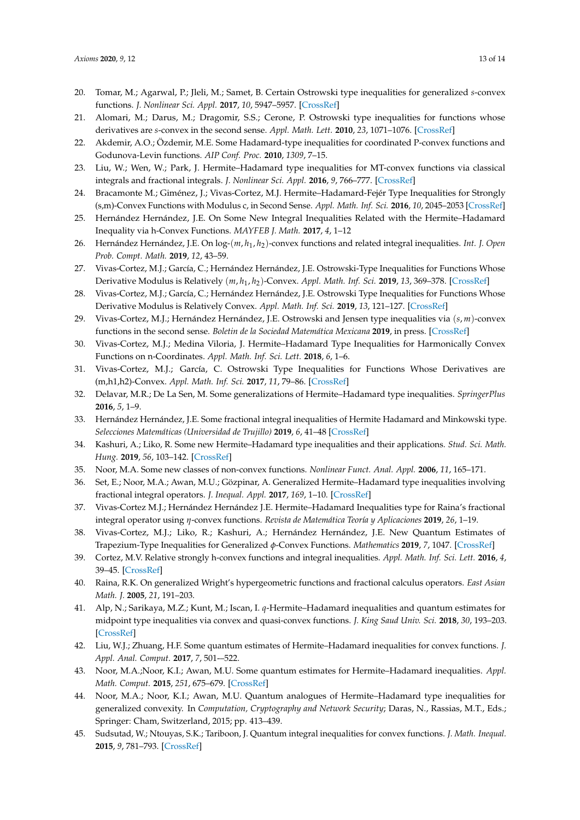- <span id="page-12-0"></span>20. Tomar, M.; Agarwal, P.; Jleli, M.; Samet, B. Certain Ostrowski type inequalities for generalized *s*-convex functions. *J. Nonlinear Sci. Appl.* **2017**, *10*, 5947–5957. [\[CrossRef\]](http://dx.doi.org/10.22436/jnsa.010.11.32)
- <span id="page-12-1"></span>21. Alomari, M.; Darus, M.; Dragomir, S.S.; Cerone, P. Ostrowski type inequalities for functions whose derivatives are *s*-convex in the second sense. *Appl. Math. Lett.* **2010**, *23*, 1071–1076. [\[CrossRef\]](http://dx.doi.org/10.1016/j.aml.2010.04.038)
- <span id="page-12-2"></span>22. Akdemir, A.O.; Özdemir, M.E. Some Hadamard-type inequalities for coordinated P-convex functions and Godunova-Levin functions. *AIP Conf. Proc.* **2010**, *1309*, 7–15.
- <span id="page-12-3"></span>23. Liu, W.; Wen, W.; Park, J. Hermite–Hadamard type inequalities for MT-convex functions via classical integrals and fractional integrals. *J. Nonlinear Sci. Appl.* **2016**, *9*, 766–777. [\[CrossRef\]](http://dx.doi.org/10.22436/jnsa.009.03.05)
- <span id="page-12-4"></span>24. Bracamonte M.; Giménez, J.; Vivas-Cortez, M.J. Hermite–Hadamard-Fejér Type Inequalities for Strongly (s,m)-Convex Functions with Modulus c, in Second Sense. *Appl. Math. Inf. Sci.* **2016**, *10*, 2045–2053 [\[CrossRef\]](http://dx.doi.org/10.18576/amis/100606)
- 25. Hernández Hernández, J.E. On Some New Integral Inequalities Related with the Hermite–Hadamard Inequality via h-Convex Functions. *MAYFEB J. Math.* **2017**, *4*, 1–12
- 26. Hernández Hernández, J.E. On log-(*m*, *h*<sup>1</sup> , *h*2)-convex functions and related integral inequalities. *Int. J. Open Prob. Compt. Math.* **2019**, *12*, 43–59.
- 27. Vivas-Cortez, M.J.; García, C.; Hernández Hernández, J.E. Ostrowski-Type Inequalities for Functions Whose Derivative Modulus is Relatively (*m*, *h*<sup>1</sup> , *h*2)-Convex. *Appl. Math. Inf. Sci.* **2019**, *13*, 369–378. [\[CrossRef\]](http://dx.doi.org/10.18576/amis/130303)
- 28. Vivas-Cortez, M.J.; García, C.; Hernández Hernández, J.E. Ostrowski Type Inequalities for Functions Whose Derivative Modulus is Relatively Convex. *Appl. Math. Inf. Sci.* **2019**, *13*, 121–127. [\[CrossRef\]](http://dx.doi.org/10.18576/amis/130116)
- 29. Vivas-Cortez, M.J.; Hernández Hernández, J.E. Ostrowski and Jensen type inequalities via (*s*, *m*)-convex functions in the second sense. *Boletin de la Sociedad Matemática Mexicana* **2019**, in press. [\[CrossRef\]](http://dx.doi.org/10.1007/s40590-019-00273-z)
- 30. Vivas-Cortez, M.J.; Medina Viloria, J. Hermite–Hadamard Type Inequalities for Harmonically Convex Functions on n-Coordinates. *Appl. Math. Inf. Sci. Lett.* **2018**, *6*, 1–6.
- <span id="page-12-5"></span>31. Vivas-Cortez, M.J.; García, C. Ostrowski Type Inequalities for Functions Whose Derivatives are (m,h1,h2)-Convex. *Appl. Math. Inf. Sci.* **2017**, *11*, 79–86. [\[CrossRef\]](http://dx.doi.org/10.18576/amis/110110)
- <span id="page-12-6"></span>32. Delavar, M.R.; De La Sen, M. Some generalizations of Hermite–Hadamard type inequalities. *SpringerPlus* **2016**, *5*, 1–9.
- 33. Hernández Hernández, J.E. Some fractional integral inequalities of Hermite Hadamard and Minkowski type. *Selecciones Matemáticas (Universidad de Trujillo)* **2019**, *6*, 41–48 [\[CrossRef\]](http://dx.doi.org/10.17268/sel.mat.2019.01.07)
- 34. Kashuri, A.; Liko, R. Some new Hermite–Hadamard type inequalities and their applications. *Stud. Sci. Math. Hung.* **2019**, *56*, 103–142. [\[CrossRef\]](http://dx.doi.org/10.1556/012.2019.56.1.1418)
- <span id="page-12-8"></span>35. Noor, M.A. Some new classes of non-convex functions. *Nonlinear Funct. Anal. Appl.* **2006**, *11*, 165–171.
- 36. Set, E.; Noor, M.A.; Awan, M.U.; Gözpinar, A. Generalized Hermite–Hadamard type inequalities involving fractional integral operators. *J. Inequal. Appl.* **2017**, *169*, 1–10. [\[CrossRef\]](http://dx.doi.org/10.1186/s13660-017-1444-6)
- 37. Vivas-Cortez M.J.; Hernández Hernández J.E. Hermite–Hadamard Inequalities type for Raina's fractional integral operator using *η*-convex functions. *Revista de Matemática Teoría y Aplicaciones* **2019**, *26*, 1–19.
- <span id="page-12-10"></span>38. Vivas-Cortez, M.J.; Liko, R.; Kashuri, A.; Hernández Hernández, J.E. New Quantum Estimates of Trapezium-Type Inequalities for Generalized *φ*-Convex Functions. *Mathematics* **2019**, *7*, 1047. [\[CrossRef\]](http://dx.doi.org/10.3390/math7111047)
- <span id="page-12-7"></span>39. Cortez, M.V. Relative strongly h-convex functions and integral inequalities. *Appl. Math. Inf. Sci. Lett.* **2016**, *4*, 39–45. [\[CrossRef\]](http://dx.doi.org/10.18576/amisl/040201)
- <span id="page-12-9"></span>40. Raina, R.K. On generalized Wright's hypergeometric functions and fractional calculus operators. *East Asian Math. J.* **2005**, *21*, 191–203.
- <span id="page-12-11"></span>41. Alp, N.; Sarikaya, M.Z.; Kunt, M.; Iscan, I. *q*-Hermite–Hadamard inequalities and quantum estimates for midpoint type inequalities via convex and quasi-convex functions. *J. King Saud Univ. Sci.* **2018**, *30*, 193–203. [\[CrossRef\]](http://dx.doi.org/10.1016/j.jksus.2016.09.007)
- 42. Liu, W.J.; Zhuang, H.F. Some quantum estimates of Hermite–Hadamard inequalities for convex functions. *J. Appl. Anal. Comput.* **2017**, *7*, 501-–522.
- 43. Noor, M.A.;Noor, K.I.; Awan, M.U. Some quantum estimates for Hermite–Hadamard inequalities. *Appl. Math. Comput.* **2015**, *251*, 675–679. [\[CrossRef\]](http://dx.doi.org/10.1016/j.amc.2014.11.090)
- 44. Noor, M.A.; Noor, K.I.; Awan, M.U. Quantum analogues of Hermite–Hadamard type inequalities for generalized convexity. In *Computation, Cryptography and Network Security*; Daras, N., Rassias, M.T., Eds.; Springer: Cham, Switzerland, 2015; pp. 413–439.
- <span id="page-12-12"></span>45. Sudsutad, W.; Ntouyas, S.K.; Tariboon, J. Quantum integral inequalities for convex functions. *J. Math. Inequal.* **2015**, *9*, 781–793. [\[CrossRef\]](http://dx.doi.org/10.7153/jmi-09-64)